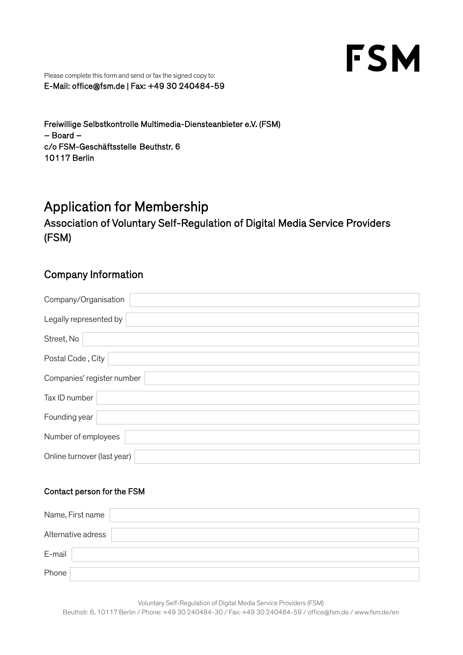# **FSM**

Please complete this form and send or fax the signed copy to: E-Mail: office@fsm.de | Fax: +49 30 240484-59

Freiwillige Selbstkontrolle Multimedia-Diensteanbieter e.V. (FSM) – Board – c/o FSM-Geschäftsstelle Beuthstr. 6 10117 Berlin

## Application for Membership

Association of Voluntary Self-Regulation of Digital Media Service Providers (FSM)

### Company Information

| Company/Organisation        |
|-----------------------------|
| Legally represented by      |
| Street, No                  |
| Postal Code, City           |
| Companies' register number  |
| Tax ID number               |
| Founding year               |
| Number of employees         |
| Online turnover (last year) |

#### Contact person for the FSM

| Name, First name   |  |
|--------------------|--|
| Alternative adress |  |
| E-mail             |  |
| Phone              |  |

Voluntary Self-Regulation of Digital Media Service Providers (FSM) Beuthstr. 6, 10117 Berlin / Phone: +49 30 240484-30 / Fax: +49 30 240484-59 / office@fsm.de / www.fsm.de/en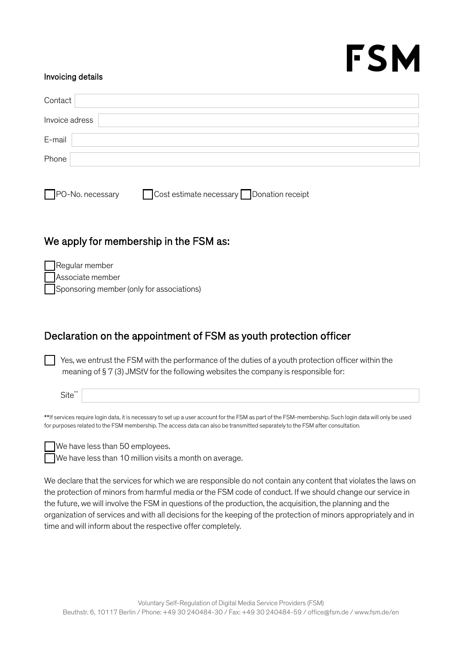# FSM

#### Invoicing details

| Contact |                |  |  |  |  |
|---------|----------------|--|--|--|--|
|         | Invoice adress |  |  |  |  |
| E-mail  |                |  |  |  |  |
| Phone   |                |  |  |  |  |
|         |                |  |  |  |  |

 $\neg$ PO-No. necessary  $\Box$  Cost estimate necessary  $\Box$  Donation receipt

### We apply for membership in the FSM as:

| <b>Regular member</b>                     |
|-------------------------------------------|
| Associate member                          |
| Sponsoring member (only for associations) |

## Declaration on the appointment of FSM as youth protection officer

Yes, we entrust the FSM with the performance of the duties of a youth protection officer within the meaning of § 7 (3) JMStV for the following websites the company is responsible for:

Site<sup>\*</sup>

\*\*If services require login data, it is necessary to set up a user account for the FSM as part of the FSM-membership. Such login data will only be used for purposes related to the FSM membership. The access data can also be transmitted separately to the FSM after consultation.

We have less than 50 employees.

We have less than 10 million visits a month on average.

We declare that the services for which we are responsible do not contain any content that violates the laws on the protection of minors from harmful media or the FSM code of conduct. If we should change our service in the future, we will involve the FSM in questions of the production, the acquisition, the planning and the organization of services and with all decisions for the keeping of the protection of minors appropriately and in time and will inform about the respective offer completely.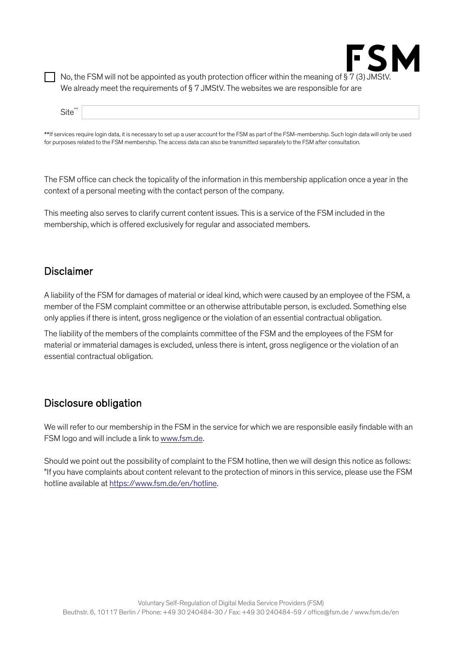

No, the FSM will not be appointed as youth protection officer within the meaning of § 7 (3) JMSt<sup>'</sup> We already meet the requirements of § 7 JMStV. The websites we are responsible for are

| <b></b> |  |
|---------|--|
|         |  |

\*\*If services require login data, it is necessary to set up a user account for the FSM as part of the FSM-membership. Such login data will only be used for purposes related to the FSM membership. The access data can also be transmitted separately to the FSM after consultation.

The FSM office can check the topicality of the information in this membership application once a year in the context of a personal meeting with the contact person of the company.

This meeting also serves to clarify current content issues. This is a service of the FSM included in the membership, which is offered exclusively for regular and associated members.

#### Disclaimer

A liability of the FSM for damages of material or ideal kind, which were caused by an employee of the FSM, a member of the FSM complaint committee or an otherwise attributable person, is excluded. Something else only applies if there is intent, gross negligence or the violation of an essential contractual obligation.

The liability of the members of the complaints committee of the FSM and the employees of the FSM for material or immaterial damages is excluded, unless there is intent, gross negligence or the violation of an essential contractual obligation.

#### Disclosure obligation

We will refer to our membership in the FSM in the service for which we are responsible easily findable with an FSM logo and will include a link to [www.fsm.de.](http://www.fsm.de/)

Should we point out the possibility of complaint to the FSM hotline, then we will design this notice as follows: "If you have complaints about content relevant to the protection of minors in this service, please use the FSM hotline available at [https://www.fsm.de/en/hotline.](https://www.fsm.de/en/hotline)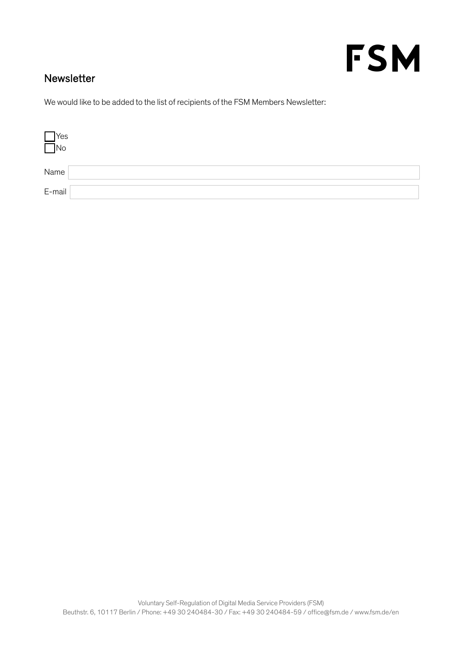## **FSM**

## Newsletter

We would like to be added to the list of recipients of the FSM Members Newsletter:

| $\prod_{\text{No}}$ Yes |  |
|-------------------------|--|
| Name                    |  |
| E-mail                  |  |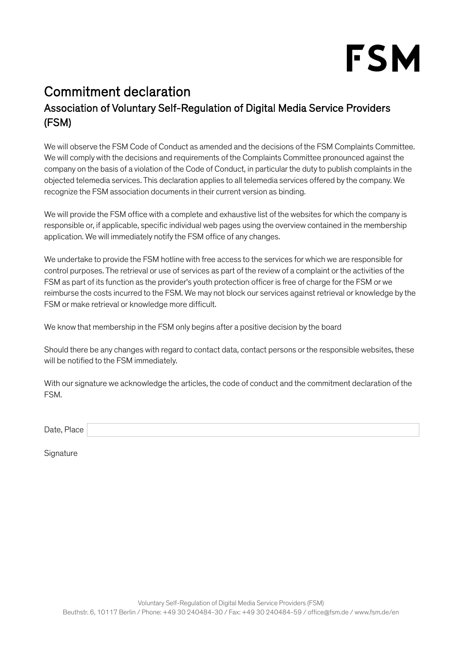

## Commitment declaration Association of Voluntary Self-Regulation of Digital Media Service Providers (FSM)

We will observe the FSM Code of Conduct as amended and the decisions of the FSM Complaints Committee. We will comply with the decisions and requirements of the Complaints Committee pronounced against the company on the basis of a violation of the Code of Conduct, in particular the duty to publish complaints in the objected telemedia services. This declaration applies to all telemedia services offered by the company. We recognize the FSM association documents in their current version as binding.

We will provide the FSM office with a complete and exhaustive list of the websites for which the company is responsible or, if applicable, specific individual web pages using the overview contained in the membership application. We will immediately notify the FSM office of any changes.

We undertake to provide the FSM hotline with free access to the services for which we are responsible for control purposes. The retrieval or use of services as part of the review of a complaint or the activities of the FSM as part of its function as the provider's youth protection officer is free of charge for the FSM or we reimburse the costs incurred to the FSM. We may not block our services against retrieval or knowledge by the FSM or make retrieval or knowledge more difficult.

We know that membership in the FSM only begins after a positive decision by the board

Should there be any changes with regard to contact data, contact persons or the responsible websites, these will be notified to the FSM immediately.

With our signature we acknowledge the articles, the code of conduct and the commitment declaration of the FSM.

Date, Place

**Signature**